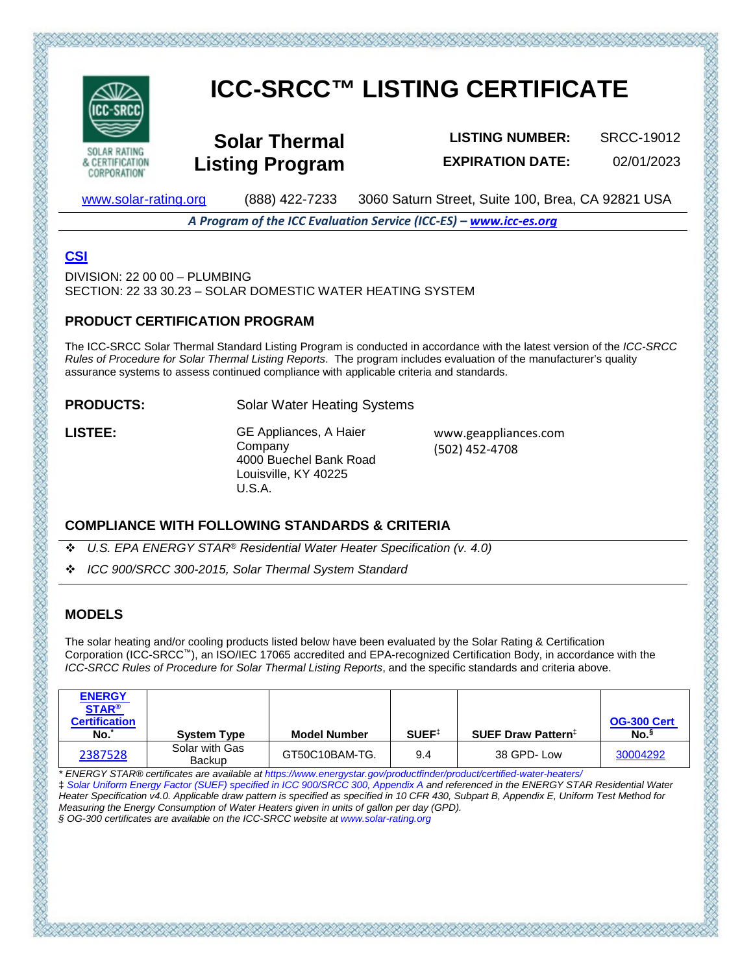

**CORPORATION** 

# **ICC-SRCC™ LISTING CERTIFICATE**

**Solar Thermal Listing Program**

**LISTING NUMBER:** SRCC-19012 **EXPIRATION DATE:** 02/01/2023

[www.solar-rating.org](http://www.solar-rating.org/) (888) 422-7233 3060 Saturn Street, Suite 100, Brea, CA 92821 USA

*A Program of the ICC Evaluation Service (ICC-ES) – [www.icc-es.org](http://www.icc-es.org/)*

## **[CSI](http://www.masterformat.com/revisions/)**

 $DIVISION: 22,00,00 - PI UMRING$ SECTION: 22 33 30.23 – SOLAR DOMESTIC WATER HEATING SYSTEM

#### **PRODUCT CERTIFICATION PROGRAM**

The ICC-SRCC Solar Thermal Standard Listing Program is conducted in accordance with the latest version of the *ICC-SRCC Rules of Procedure for Solar Thermal Listing Reports*. The program includes evaluation of the manufacturer's quality assurance systems to assess continued compliance with applicable criteria and standards.

**PRODUCTS:** Solar Water Heating Systems

**LISTEE:** GE Appliances, A Haier Company 4000 Buechel Bank Road Louisville, KY 40225 U.S.A.

www.geappliances.com (502) 452-4708

#### **COMPLIANCE WITH FOLLOWING STANDARDS & CRITERIA**

- *U.S. EPA ENERGY STAR® Residential Water Heater Specification (v. 4.0)*
- *ICC 900/SRCC 300-2015, Solar Thermal System Standard*

### **MODELS**

The solar heating and/or cooling products listed below have been evaluated by the Solar Rating & Certification Corporation (ICC-SRCC™), an ISO/IEC 17065 accredited and EPA-recognized Certification Body, in accordance with the *ICC-SRCC Rules of Procedure for Solar Thermal Listing Reports*, and the specific standards and criteria above.

| <b>ENERGY</b><br><b>STAR®</b><br><b>Certification</b><br>No. | <b>System Type</b>       | <b>Model Number</b> | SUEF <sup>‡</sup> | <b>SUEF Draw Pattern</b> # | <b>OG-300 Cert</b><br>No. <sup>§</sup> |
|--------------------------------------------------------------|--------------------------|---------------------|-------------------|----------------------------|----------------------------------------|
| 2387528                                                      | Solar with Gas<br>Backup | GT50C10BAM-TG.      | 9.4               | 38 GPD-Low                 | 30004292                               |

*\* ENERGY STAR® certificates are available at https://www.energystar.gov/productfinder/product/certified-water-heaters/*  ‡ *Solar Uniform Energy Factor (SUEF) specified in ICC 900/SRCC 300, Appendix A and referenced in the ENERGY STAR Residential Water Heater Specification v4.0. Applicable draw pattern is specified as specified in 10 CFR 430, Subpart B, Appendix E, Uniform Test Method for Measuring the Energy Consumption of Water Heaters given in units of gallon per day (GPD).* 

そういだいでんごだいがく いたいせいだいだい かいだいせい じょうだいがく

*§ OG-300 certificates are available on the ICC-SRCC website at www.solar-rating.org*